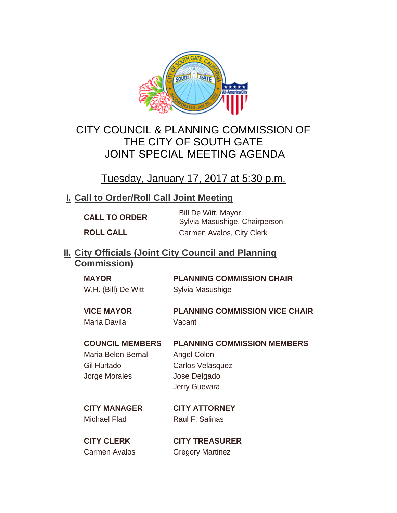

# CITY COUNCIL & PLANNING COMMISSION OF THE CITY OF SOUTH GATE JOINT SPECIAL MEETING AGENDA

Tuesday, January 17, 2017 at 5:30 p.m.

## **Call to Order/Roll Call Joint Meeting I.**

| <b>CALL TO ORDER</b> | <b>Bill De Witt, Mayor</b><br>Sylvia Masushige, Chairperson |
|----------------------|-------------------------------------------------------------|
| <b>ROLL CALL</b>     | Carmen Avalos, City Clerk                                   |

### **City Officials (Joint City Council and Planning II. Commission)**

| <b>MAYOR</b>        | <b>PLANNING COMMISSION CHAIR</b>      |
|---------------------|---------------------------------------|
| W.H. (Bill) De Witt | Sylvia Masushige                      |
|                     |                                       |
| <b>VICE MAYOR</b>   | <b>PLANNING COMMISSION VICE CHAIR</b> |

#### **COUNCIL MEMBERS PLANNING COMMISSION MEMBERS**

Maria Belen Bernal Angel Colon Gil Hurtado Carlos Velasquez Jorge Morales Jose Delgado

Jerry Guevara

Michael Flad Raul F. Salinas

**CITY MANAGER CITY ATTORNEY**

**CITY CLERK CITY TREASURER** Carmen Avalos **Gregory Martinez**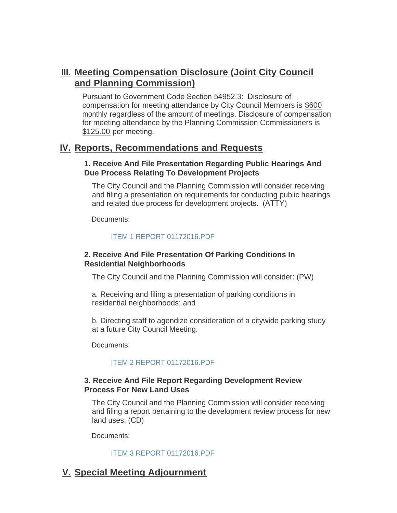## **Meeting Compensation Disclosure (Joint City Council III. and Planning Commission)**

Pursuant to Government Code Section 54952.3: Disclosure of compensation for meeting attendance by City Council Members is \$600 monthly regardless of the amount of meetings. Disclosure of compensation for meeting attendance by the Planning Commission Commissioners is \$125.00 per meeting.

### **Reports, Recommendations and Requests IV.**

#### **1. Receive And File Presentation Regarding Public Hearings And Due Process Relating To Development Projects**

The City Council and the Planning Commission will consider receiving and filing a presentation on requirements for conducting public hearings and related due process for development projects. (ATTY)

Documents:

#### [ITEM 1 REPORT 01172016.PDF](http://cityofsouthgate.org/AgendaCenter/ViewFile/Item/3548?fileID=8875)

#### **2. Receive And File Presentation Of Parking Conditions In Residential Neighborhoods**

The City Council and the Planning Commission will consider: (PW)

a. Receiving and filing a presentation of parking conditions in residential neighborhoods; and

b. Directing staff to agendize consideration of a citywide parking study at a future City Council Meeting.

Documents:

#### [ITEM 2 REPORT 01172016.PDF](http://cityofsouthgate.org/AgendaCenter/ViewFile/Item/3549?fileID=8876)

#### **3. Receive And File Report Regarding Development Review Process For New Land Uses**

The City Council and the Planning Commission will consider receiving and filing a report pertaining to the development review process for new land uses. (CD)

Documents:

#### [ITEM 3 REPORT 01172016.PDF](http://cityofsouthgate.org/AgendaCenter/ViewFile/Item/3550?fileID=8877)

## **Special Meeting Adjournment V.**